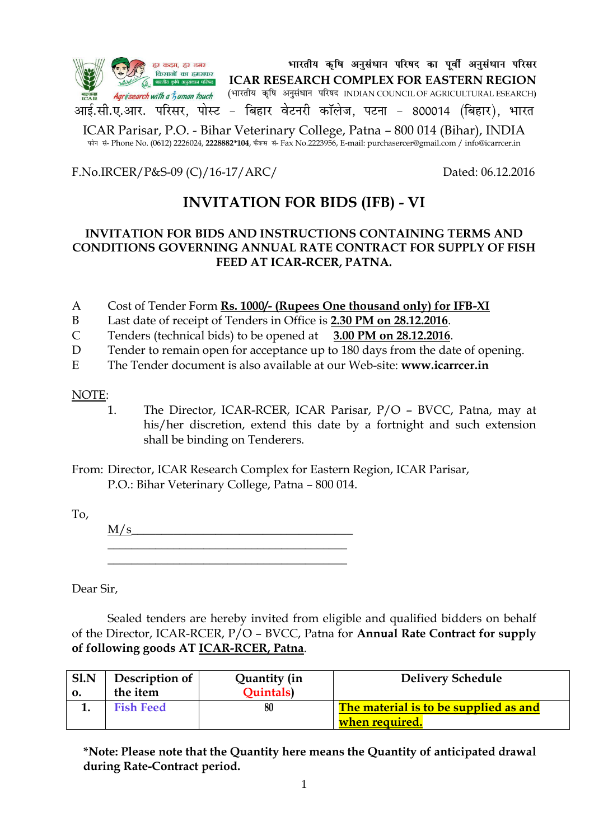

Qksu la- Phone No. (0612) 2226024, **2228882\*104**, QSDl la- Fax No.2223956, E-mail: purchasercer@gmail.com / info@icarrcer.in

F.No.IRCER/P&S-09 (C)/16-17/ARC/ Dated: 06.12.2016

# **INVITATION FOR BIDS (IFB) - VI**

### **INVITATION FOR BIDS AND INSTRUCTIONS CONTAINING TERMS AND CONDITIONS GOVERNING ANNUAL RATE CONTRACT FOR SUPPLY OF FISH FEED AT ICAR-RCER, PATNA.**

- A Cost of Tender Form **Rs. 1000/- (Rupees One thousand only) for IFB-XI**
- B Last date of receipt of Tenders in Office is **2.30 PM on 28.12.2016**.
- C Tenders (technical bids) to be opened at **3.00 PM on 28.12.2016**.
- D Tender to remain open for acceptance up to 180 days from the date of opening.
- E The Tender document is also available at our Web-site: **www.icarrcer.in**

### NOTE:

1. The Director, ICAR-RCER, ICAR Parisar, P/O – BVCC, Patna, may at his/her discretion, extend this date by a fortnight and such extension shall be binding on Tenderers.

From: Director, ICAR Research Complex for Eastern Region, ICAR Parisar, P.O.: Bihar Veterinary College, Patna – 800 014.

To,

 $M/s$  $\overline{\phantom{a}}$  , where  $\overline{\phantom{a}}$  , where  $\overline{\phantom{a}}$  ,  $\overline{\phantom{a}}$  ,  $\overline{\phantom{a}}$  ,  $\overline{\phantom{a}}$  ,  $\overline{\phantom{a}}$  ,  $\overline{\phantom{a}}$  ,  $\overline{\phantom{a}}$  ,  $\overline{\phantom{a}}$  ,  $\overline{\phantom{a}}$  ,  $\overline{\phantom{a}}$  ,  $\overline{\phantom{a}}$  ,  $\overline{\phantom{a}}$  ,  $\overline{\phantom{a}}$  , \_\_\_\_\_\_\_\_\_\_\_\_\_\_\_\_\_\_\_\_\_\_\_\_\_\_\_\_\_\_\_\_\_\_\_\_\_\_\_\_

Dear Sir,

Sealed tenders are hereby invited from eligible and qualified bidders on behalf of the Director, ICAR-RCER, P/O – BVCC, Patna for **Annual Rate Contract for supply of following goods AT ICAR-RCER, Patna**.

| Sl.N | Description of   | Quantity (in    | <b>Delivery Schedule</b>                                       |
|------|------------------|-----------------|----------------------------------------------------------------|
| 0.   | the item         | <b>Ouintals</b> |                                                                |
|      | <b>Fish Feed</b> | 80              | The material is to be supplied as and<br><u>when required.</u> |

**\*Note: Please note that the Quantity here means the Quantity of anticipated drawal during Rate-Contract period.**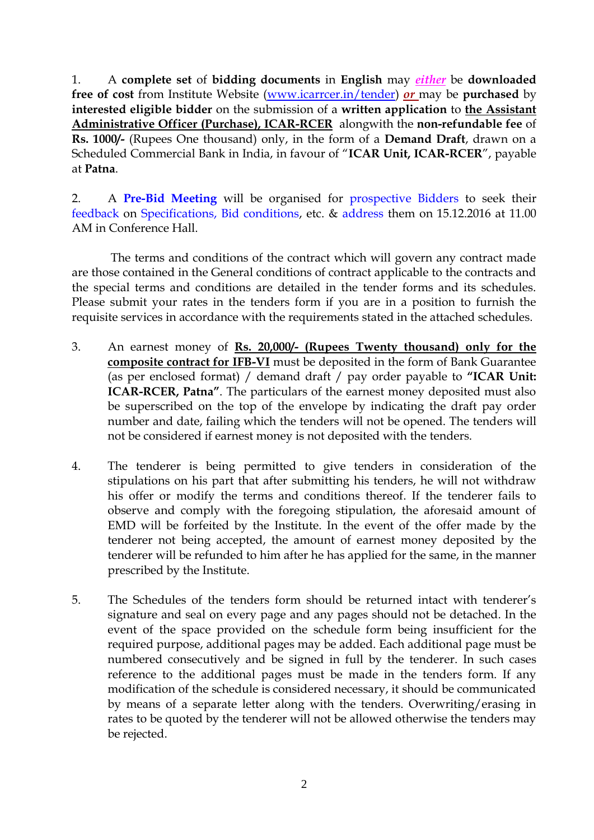1. A **complete set** of **bidding documents** in **English** may *either* be **downloaded free of cost** from Institute Website [\(www.icarrcer.in/tender\)](http://www.icarrcer.in/tender) *or* may be **purchased** by **interested eligible bidder** on the submission of a **written application** to **the Assistant Administrative Officer (Purchase), ICAR-RCER** alongwith the **non-refundable fee** of **Rs. 1000/-** (Rupees One thousand) only, in the form of a **Demand Draft**, drawn on a Scheduled Commercial Bank in India, in favour of "**ICAR Unit, ICAR-RCER**", payable at **Patna**.

2. A **Pre-Bid Meeting** will be organised for prospective Bidders to seek their feedback on Specifications, Bid conditions, etc. & address them on 15.12.2016 at 11.00 AM in Conference Hall.

The terms and conditions of the contract which will govern any contract made are those contained in the General conditions of contract applicable to the contracts and the special terms and conditions are detailed in the tender forms and its schedules. Please submit your rates in the tenders form if you are in a position to furnish the requisite services in accordance with the requirements stated in the attached schedules.

- 3. An earnest money of **Rs. 20,000/- (Rupees Twenty thousand) only for the composite contract for IFB-VI** must be deposited in the form of Bank Guarantee (as per enclosed format) / demand draft / pay order payable to **"ICAR Unit: ICAR-RCER, Patna"**. The particulars of the earnest money deposited must also be superscribed on the top of the envelope by indicating the draft pay order number and date, failing which the tenders will not be opened. The tenders will not be considered if earnest money is not deposited with the tenders.
- 4. The tenderer is being permitted to give tenders in consideration of the stipulations on his part that after submitting his tenders, he will not withdraw his offer or modify the terms and conditions thereof. If the tenderer fails to observe and comply with the foregoing stipulation, the aforesaid amount of EMD will be forfeited by the Institute. In the event of the offer made by the tenderer not being accepted, the amount of earnest money deposited by the tenderer will be refunded to him after he has applied for the same, in the manner prescribed by the Institute.
- 5. The Schedules of the tenders form should be returned intact with tenderer"s signature and seal on every page and any pages should not be detached. In the event of the space provided on the schedule form being insufficient for the required purpose, additional pages may be added. Each additional page must be numbered consecutively and be signed in full by the tenderer. In such cases reference to the additional pages must be made in the tenders form. If any modification of the schedule is considered necessary, it should be communicated by means of a separate letter along with the tenders. Overwriting/erasing in rates to be quoted by the tenderer will not be allowed otherwise the tenders may be rejected.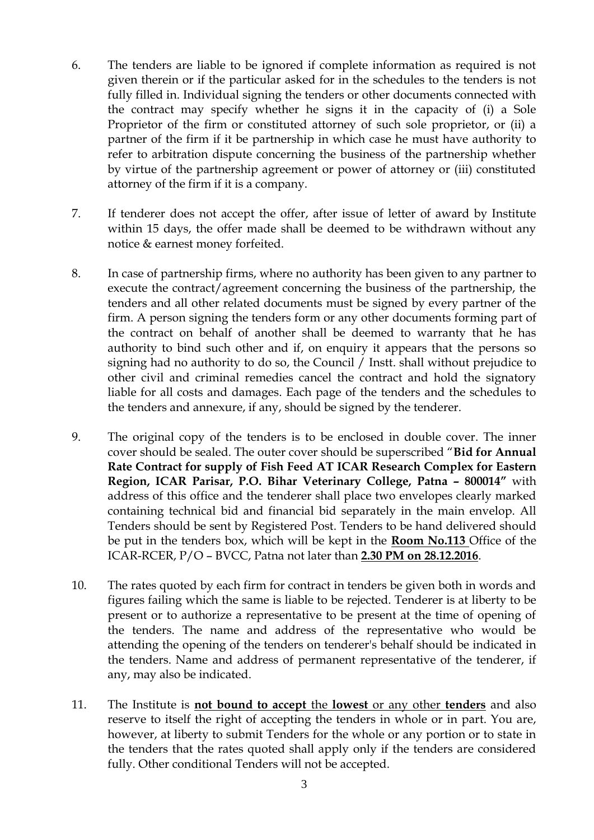- 6. The tenders are liable to be ignored if complete information as required is not given therein or if the particular asked for in the schedules to the tenders is not fully filled in. Individual signing the tenders or other documents connected with the contract may specify whether he signs it in the capacity of (i) a Sole Proprietor of the firm or constituted attorney of such sole proprietor, or (ii) a partner of the firm if it be partnership in which case he must have authority to refer to arbitration dispute concerning the business of the partnership whether by virtue of the partnership agreement or power of attorney or (iii) constituted attorney of the firm if it is a company.
- 7. If tenderer does not accept the offer, after issue of letter of award by Institute within 15 days, the offer made shall be deemed to be withdrawn without any notice & earnest money forfeited.
- 8. In case of partnership firms, where no authority has been given to any partner to execute the contract/agreement concerning the business of the partnership, the tenders and all other related documents must be signed by every partner of the firm. A person signing the tenders form or any other documents forming part of the contract on behalf of another shall be deemed to warranty that he has authority to bind such other and if, on enquiry it appears that the persons so signing had no authority to do so, the Council / Instt. shall without prejudice to other civil and criminal remedies cancel the contract and hold the signatory liable for all costs and damages. Each page of the tenders and the schedules to the tenders and annexure, if any, should be signed by the tenderer.
- 9. The original copy of the tenders is to be enclosed in double cover. The inner cover should be sealed. The outer cover should be superscribed "**Bid for Annual Rate Contract for supply of Fish Feed AT ICAR Research Complex for Eastern Region, ICAR Parisar, P.O. Bihar Veterinary College, Patna – 800014"** with address of this office and the tenderer shall place two envelopes clearly marked containing technical bid and financial bid separately in the main envelop. All Tenders should be sent by Registered Post. Tenders to be hand delivered should be put in the tenders box, which will be kept in the **Room No.113** Office of the ICAR-RCER, P/O – BVCC, Patna not later than **2.30 PM on 28.12.2016**.
- 10. The rates quoted by each firm for contract in tenders be given both in words and figures failing which the same is liable to be rejected. Tenderer is at liberty to be present or to authorize a representative to be present at the time of opening of the tenders. The name and address of the representative who would be attending the opening of the tenders on tenderer's behalf should be indicated in the tenders. Name and address of permanent representative of the tenderer, if any, may also be indicated.
- 11. The Institute is **not bound to accept** the **lowest** or any other **tenders** and also reserve to itself the right of accepting the tenders in whole or in part. You are, however, at liberty to submit Tenders for the whole or any portion or to state in the tenders that the rates quoted shall apply only if the tenders are considered fully. Other conditional Tenders will not be accepted.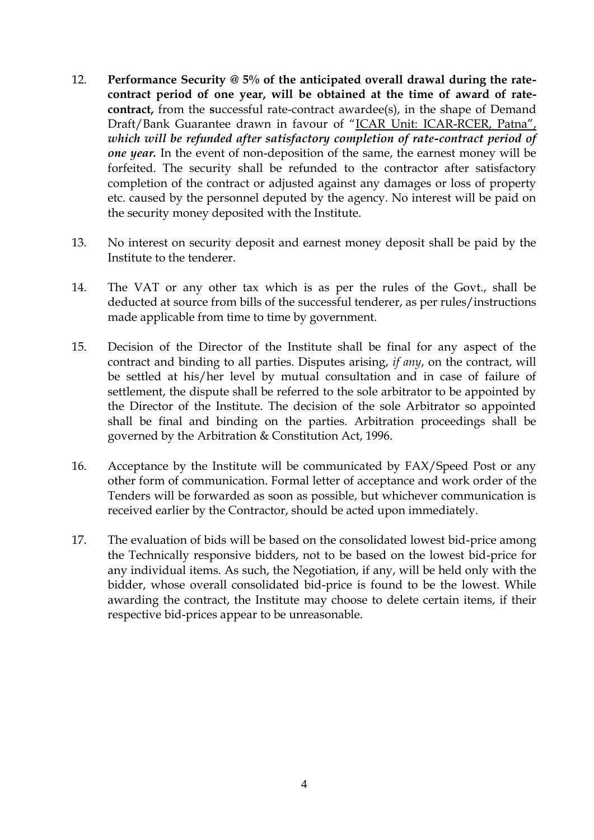- 12. **Performance Security @ 5% of the anticipated overall drawal during the ratecontract period of one year, will be obtained at the time of award of ratecontract,** from the **s**uccessful rate-contract awardee(s), in the shape of Demand Draft/Bank Guarantee drawn in favour of "ICAR Unit: ICAR-RCER, Patna", *which will be refunded after satisfactory completion of rate-contract period of one year.* In the event of non-deposition of the same, the earnest money will be forfeited. The security shall be refunded to the contractor after satisfactory completion of the contract or adjusted against any damages or loss of property etc. caused by the personnel deputed by the agency. No interest will be paid on the security money deposited with the Institute.
- 13. No interest on security deposit and earnest money deposit shall be paid by the Institute to the tenderer.
- 14. The VAT or any other tax which is as per the rules of the Govt., shall be deducted at source from bills of the successful tenderer, as per rules/instructions made applicable from time to time by government.
- 15. Decision of the Director of the Institute shall be final for any aspect of the contract and binding to all parties. Disputes arising, *if any*, on the contract, will be settled at his/her level by mutual consultation and in case of failure of settlement, the dispute shall be referred to the sole arbitrator to be appointed by the Director of the Institute. The decision of the sole Arbitrator so appointed shall be final and binding on the parties. Arbitration proceedings shall be governed by the Arbitration & Constitution Act, 1996.
- 16. Acceptance by the Institute will be communicated by FAX/Speed Post or any other form of communication. Formal letter of acceptance and work order of the Tenders will be forwarded as soon as possible, but whichever communication is received earlier by the Contractor, should be acted upon immediately.
- 17. The evaluation of bids will be based on the consolidated lowest bid-price among the Technically responsive bidders, not to be based on the lowest bid-price for any individual items. As such, the Negotiation, if any, will be held only with the bidder, whose overall consolidated bid-price is found to be the lowest. While awarding the contract, the Institute may choose to delete certain items, if their respective bid-prices appear to be unreasonable.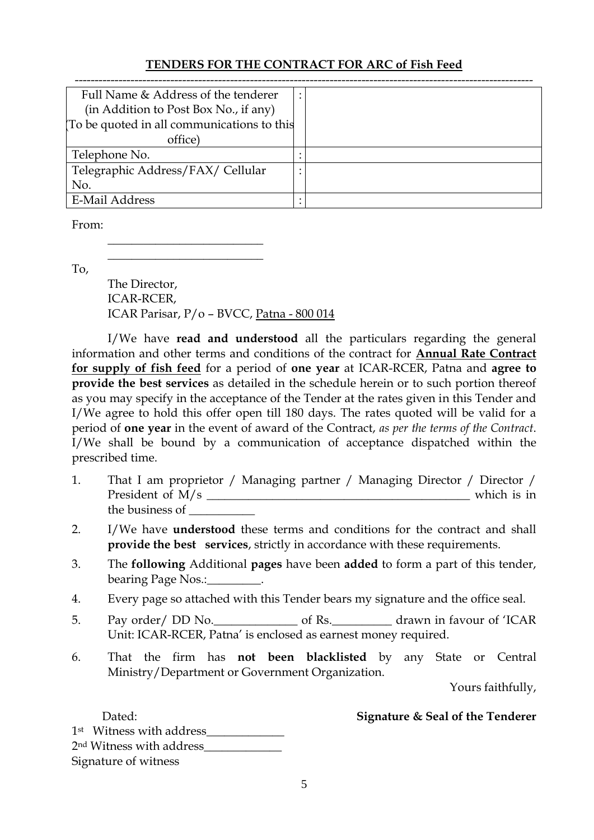## **TENDERS FOR THE CONTRACT FOR ARC of Fish Feed**

| Full Name & Address of the tenderer        |  |
|--------------------------------------------|--|
| (in Addition to Post Box No., if any)      |  |
| To be quoted in all communications to this |  |
| office)                                    |  |
| Telephone No.                              |  |
| Telegraphic Address/FAX/ Cellular          |  |
| No.                                        |  |
| <b>E-Mail Address</b>                      |  |

From:

To,

The Director, ICAR-RCER, ICAR Parisar, P/o – BVCC, Patna - 800 014

 $\overline{\phantom{a}}$  , where  $\overline{\phantom{a}}$  , where  $\overline{\phantom{a}}$  , where  $\overline{\phantom{a}}$  $\overline{\phantom{a}}$  , where  $\overline{\phantom{a}}$  , where  $\overline{\phantom{a}}$  , where  $\overline{\phantom{a}}$ 

I/We have **read and understood** all the particulars regarding the general information and other terms and conditions of the contract for **Annual Rate Contract for supply of fish feed** for a period of **one year** at ICAR-RCER, Patna and **agree to provide the best services** as detailed in the schedule herein or to such portion thereof as you may specify in the acceptance of the Tender at the rates given in this Tender and I/We agree to hold this offer open till 180 days. The rates quoted will be valid for a period of **one year** in the event of award of the Contract, *as per the terms of the Contract*. I/We shall be bound by a communication of acceptance dispatched within the prescribed time.

- 1. That I am proprietor / Managing partner / Managing Director / Director / President of M/s \_\_\_\_\_\_\_\_\_\_\_\_\_\_\_\_\_\_\_\_\_\_\_\_\_\_\_\_\_\_\_\_\_\_\_\_\_\_\_\_\_\_\_\_ which is in the business of \_\_\_\_\_\_\_\_\_\_\_
- 2. I/We have **understood** these terms and conditions for the contract and shall **provide the best services**, strictly in accordance with these requirements.
- 3. The **following** Additional **pages** have been **added** to form a part of this tender, bearing Page Nos.:\_\_\_\_\_\_\_\_\_.
- 4. Every page so attached with this Tender bears my signature and the office seal.
- 5. Pay order/ DD No. \_\_\_\_\_\_\_\_\_\_\_\_\_\_\_\_\_\_\_\_ of Rs. \_\_\_\_\_\_\_\_\_\_\_\_\_ drawn in favour of 'ICAR Unit: ICAR-RCER, Patna" is enclosed as earnest money required.
- 6. That the firm has **not been blacklisted** by any State or Central Ministry/Department or Government Organization.

Yours faithfully,

Dated: **Signature & Seal of the Tenderer** 1st Witness with address\_\_\_\_\_\_\_\_\_\_\_\_\_ 2<sup>nd</sup> Witness with address Signature of witness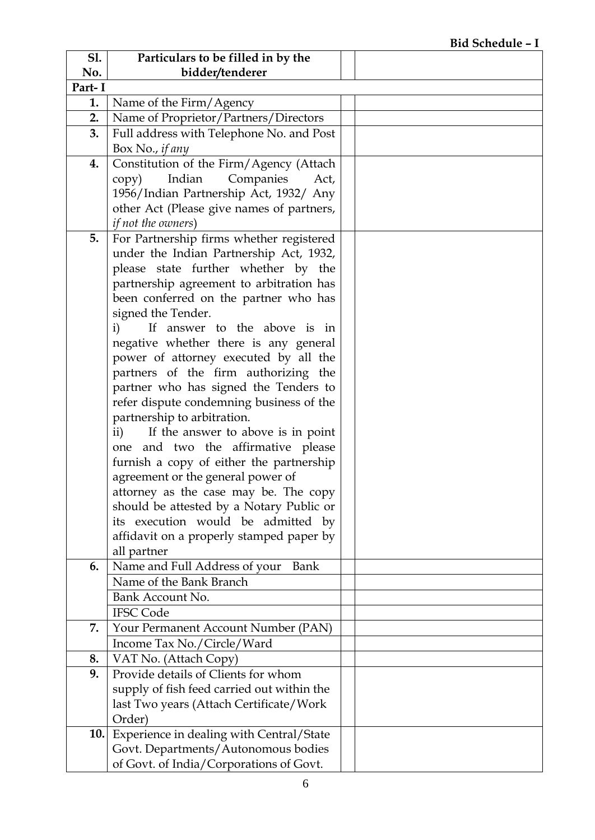| bidder/tenderer<br>No.<br>Part-I<br>Name of the Firm/Agency<br>1.<br>2.<br>Name of Proprietor/Partners/Directors<br>Full address with Telephone No. and Post<br>3.<br>Box No., if any<br>Constitution of the Firm/Agency (Attach<br>4.<br>Indian<br>Companies<br>Act,<br>copy)<br>1956/Indian Partnership Act, 1932/ Any<br>other Act (Please give names of partners,<br><i>if not the owners</i> )<br>5.<br>For Partnership firms whether registered<br>under the Indian Partnership Act, 1932,<br>please state further whether by the<br>partnership agreement to arbitration has<br>been conferred on the partner who has<br>signed the Tender.<br>If answer to the above is in<br>i)<br>negative whether there is any general<br>power of attorney executed by all the<br>partners of the firm authorizing the<br>partner who has signed the Tenders to<br>refer dispute condemning business of the<br>partnership to arbitration.<br>If the answer to above is in point<br>$\mathbf{ii}$ )<br>one and two the affirmative please<br>furnish a copy of either the partnership<br>agreement or the general power of<br>attorney as the case may be. The copy<br>should be attested by a Notary Public or<br>its execution would be admitted by<br>affidavit on a properly stamped paper by<br>all partner<br>Name and Full Address of your<br>6.<br>Bank<br>Name of the Bank Branch<br>Bank Account No.<br><b>IFSC Code</b> | S1. | Particulars to be filled in by the |  |
|--------------------------------------------------------------------------------------------------------------------------------------------------------------------------------------------------------------------------------------------------------------------------------------------------------------------------------------------------------------------------------------------------------------------------------------------------------------------------------------------------------------------------------------------------------------------------------------------------------------------------------------------------------------------------------------------------------------------------------------------------------------------------------------------------------------------------------------------------------------------------------------------------------------------------------------------------------------------------------------------------------------------------------------------------------------------------------------------------------------------------------------------------------------------------------------------------------------------------------------------------------------------------------------------------------------------------------------------------------------------------------------------------------------------------------|-----|------------------------------------|--|
|                                                                                                                                                                                                                                                                                                                                                                                                                                                                                                                                                                                                                                                                                                                                                                                                                                                                                                                                                                                                                                                                                                                                                                                                                                                                                                                                                                                                                                |     |                                    |  |
|                                                                                                                                                                                                                                                                                                                                                                                                                                                                                                                                                                                                                                                                                                                                                                                                                                                                                                                                                                                                                                                                                                                                                                                                                                                                                                                                                                                                                                |     |                                    |  |
|                                                                                                                                                                                                                                                                                                                                                                                                                                                                                                                                                                                                                                                                                                                                                                                                                                                                                                                                                                                                                                                                                                                                                                                                                                                                                                                                                                                                                                |     |                                    |  |
|                                                                                                                                                                                                                                                                                                                                                                                                                                                                                                                                                                                                                                                                                                                                                                                                                                                                                                                                                                                                                                                                                                                                                                                                                                                                                                                                                                                                                                |     |                                    |  |
|                                                                                                                                                                                                                                                                                                                                                                                                                                                                                                                                                                                                                                                                                                                                                                                                                                                                                                                                                                                                                                                                                                                                                                                                                                                                                                                                                                                                                                |     |                                    |  |
|                                                                                                                                                                                                                                                                                                                                                                                                                                                                                                                                                                                                                                                                                                                                                                                                                                                                                                                                                                                                                                                                                                                                                                                                                                                                                                                                                                                                                                |     |                                    |  |
|                                                                                                                                                                                                                                                                                                                                                                                                                                                                                                                                                                                                                                                                                                                                                                                                                                                                                                                                                                                                                                                                                                                                                                                                                                                                                                                                                                                                                                |     |                                    |  |
|                                                                                                                                                                                                                                                                                                                                                                                                                                                                                                                                                                                                                                                                                                                                                                                                                                                                                                                                                                                                                                                                                                                                                                                                                                                                                                                                                                                                                                |     |                                    |  |
|                                                                                                                                                                                                                                                                                                                                                                                                                                                                                                                                                                                                                                                                                                                                                                                                                                                                                                                                                                                                                                                                                                                                                                                                                                                                                                                                                                                                                                |     |                                    |  |
|                                                                                                                                                                                                                                                                                                                                                                                                                                                                                                                                                                                                                                                                                                                                                                                                                                                                                                                                                                                                                                                                                                                                                                                                                                                                                                                                                                                                                                |     |                                    |  |
|                                                                                                                                                                                                                                                                                                                                                                                                                                                                                                                                                                                                                                                                                                                                                                                                                                                                                                                                                                                                                                                                                                                                                                                                                                                                                                                                                                                                                                |     |                                    |  |
|                                                                                                                                                                                                                                                                                                                                                                                                                                                                                                                                                                                                                                                                                                                                                                                                                                                                                                                                                                                                                                                                                                                                                                                                                                                                                                                                                                                                                                |     |                                    |  |
|                                                                                                                                                                                                                                                                                                                                                                                                                                                                                                                                                                                                                                                                                                                                                                                                                                                                                                                                                                                                                                                                                                                                                                                                                                                                                                                                                                                                                                |     |                                    |  |
|                                                                                                                                                                                                                                                                                                                                                                                                                                                                                                                                                                                                                                                                                                                                                                                                                                                                                                                                                                                                                                                                                                                                                                                                                                                                                                                                                                                                                                |     |                                    |  |
|                                                                                                                                                                                                                                                                                                                                                                                                                                                                                                                                                                                                                                                                                                                                                                                                                                                                                                                                                                                                                                                                                                                                                                                                                                                                                                                                                                                                                                |     |                                    |  |
|                                                                                                                                                                                                                                                                                                                                                                                                                                                                                                                                                                                                                                                                                                                                                                                                                                                                                                                                                                                                                                                                                                                                                                                                                                                                                                                                                                                                                                |     |                                    |  |
|                                                                                                                                                                                                                                                                                                                                                                                                                                                                                                                                                                                                                                                                                                                                                                                                                                                                                                                                                                                                                                                                                                                                                                                                                                                                                                                                                                                                                                |     |                                    |  |
|                                                                                                                                                                                                                                                                                                                                                                                                                                                                                                                                                                                                                                                                                                                                                                                                                                                                                                                                                                                                                                                                                                                                                                                                                                                                                                                                                                                                                                |     |                                    |  |
|                                                                                                                                                                                                                                                                                                                                                                                                                                                                                                                                                                                                                                                                                                                                                                                                                                                                                                                                                                                                                                                                                                                                                                                                                                                                                                                                                                                                                                |     |                                    |  |
|                                                                                                                                                                                                                                                                                                                                                                                                                                                                                                                                                                                                                                                                                                                                                                                                                                                                                                                                                                                                                                                                                                                                                                                                                                                                                                                                                                                                                                |     |                                    |  |
|                                                                                                                                                                                                                                                                                                                                                                                                                                                                                                                                                                                                                                                                                                                                                                                                                                                                                                                                                                                                                                                                                                                                                                                                                                                                                                                                                                                                                                |     |                                    |  |
|                                                                                                                                                                                                                                                                                                                                                                                                                                                                                                                                                                                                                                                                                                                                                                                                                                                                                                                                                                                                                                                                                                                                                                                                                                                                                                                                                                                                                                |     |                                    |  |
|                                                                                                                                                                                                                                                                                                                                                                                                                                                                                                                                                                                                                                                                                                                                                                                                                                                                                                                                                                                                                                                                                                                                                                                                                                                                                                                                                                                                                                |     |                                    |  |
|                                                                                                                                                                                                                                                                                                                                                                                                                                                                                                                                                                                                                                                                                                                                                                                                                                                                                                                                                                                                                                                                                                                                                                                                                                                                                                                                                                                                                                |     |                                    |  |
|                                                                                                                                                                                                                                                                                                                                                                                                                                                                                                                                                                                                                                                                                                                                                                                                                                                                                                                                                                                                                                                                                                                                                                                                                                                                                                                                                                                                                                |     |                                    |  |
|                                                                                                                                                                                                                                                                                                                                                                                                                                                                                                                                                                                                                                                                                                                                                                                                                                                                                                                                                                                                                                                                                                                                                                                                                                                                                                                                                                                                                                |     |                                    |  |
|                                                                                                                                                                                                                                                                                                                                                                                                                                                                                                                                                                                                                                                                                                                                                                                                                                                                                                                                                                                                                                                                                                                                                                                                                                                                                                                                                                                                                                |     |                                    |  |
|                                                                                                                                                                                                                                                                                                                                                                                                                                                                                                                                                                                                                                                                                                                                                                                                                                                                                                                                                                                                                                                                                                                                                                                                                                                                                                                                                                                                                                |     |                                    |  |
|                                                                                                                                                                                                                                                                                                                                                                                                                                                                                                                                                                                                                                                                                                                                                                                                                                                                                                                                                                                                                                                                                                                                                                                                                                                                                                                                                                                                                                |     |                                    |  |
|                                                                                                                                                                                                                                                                                                                                                                                                                                                                                                                                                                                                                                                                                                                                                                                                                                                                                                                                                                                                                                                                                                                                                                                                                                                                                                                                                                                                                                |     |                                    |  |
|                                                                                                                                                                                                                                                                                                                                                                                                                                                                                                                                                                                                                                                                                                                                                                                                                                                                                                                                                                                                                                                                                                                                                                                                                                                                                                                                                                                                                                |     |                                    |  |
|                                                                                                                                                                                                                                                                                                                                                                                                                                                                                                                                                                                                                                                                                                                                                                                                                                                                                                                                                                                                                                                                                                                                                                                                                                                                                                                                                                                                                                |     |                                    |  |
|                                                                                                                                                                                                                                                                                                                                                                                                                                                                                                                                                                                                                                                                                                                                                                                                                                                                                                                                                                                                                                                                                                                                                                                                                                                                                                                                                                                                                                |     |                                    |  |
|                                                                                                                                                                                                                                                                                                                                                                                                                                                                                                                                                                                                                                                                                                                                                                                                                                                                                                                                                                                                                                                                                                                                                                                                                                                                                                                                                                                                                                |     |                                    |  |
|                                                                                                                                                                                                                                                                                                                                                                                                                                                                                                                                                                                                                                                                                                                                                                                                                                                                                                                                                                                                                                                                                                                                                                                                                                                                                                                                                                                                                                |     |                                    |  |
|                                                                                                                                                                                                                                                                                                                                                                                                                                                                                                                                                                                                                                                                                                                                                                                                                                                                                                                                                                                                                                                                                                                                                                                                                                                                                                                                                                                                                                |     |                                    |  |
|                                                                                                                                                                                                                                                                                                                                                                                                                                                                                                                                                                                                                                                                                                                                                                                                                                                                                                                                                                                                                                                                                                                                                                                                                                                                                                                                                                                                                                |     |                                    |  |
| 7.<br>Your Permanent Account Number (PAN)                                                                                                                                                                                                                                                                                                                                                                                                                                                                                                                                                                                                                                                                                                                                                                                                                                                                                                                                                                                                                                                                                                                                                                                                                                                                                                                                                                                      |     |                                    |  |
| Income Tax No./Circle/Ward                                                                                                                                                                                                                                                                                                                                                                                                                                                                                                                                                                                                                                                                                                                                                                                                                                                                                                                                                                                                                                                                                                                                                                                                                                                                                                                                                                                                     |     |                                    |  |
| 8.<br>VAT No. (Attach Copy)                                                                                                                                                                                                                                                                                                                                                                                                                                                                                                                                                                                                                                                                                                                                                                                                                                                                                                                                                                                                                                                                                                                                                                                                                                                                                                                                                                                                    |     |                                    |  |
| Provide details of Clients for whom<br>9.                                                                                                                                                                                                                                                                                                                                                                                                                                                                                                                                                                                                                                                                                                                                                                                                                                                                                                                                                                                                                                                                                                                                                                                                                                                                                                                                                                                      |     |                                    |  |
| supply of fish feed carried out within the                                                                                                                                                                                                                                                                                                                                                                                                                                                                                                                                                                                                                                                                                                                                                                                                                                                                                                                                                                                                                                                                                                                                                                                                                                                                                                                                                                                     |     |                                    |  |
| last Two years (Attach Certificate/Work                                                                                                                                                                                                                                                                                                                                                                                                                                                                                                                                                                                                                                                                                                                                                                                                                                                                                                                                                                                                                                                                                                                                                                                                                                                                                                                                                                                        |     |                                    |  |
| Order)                                                                                                                                                                                                                                                                                                                                                                                                                                                                                                                                                                                                                                                                                                                                                                                                                                                                                                                                                                                                                                                                                                                                                                                                                                                                                                                                                                                                                         |     |                                    |  |
| 10. Experience in dealing with Central/State                                                                                                                                                                                                                                                                                                                                                                                                                                                                                                                                                                                                                                                                                                                                                                                                                                                                                                                                                                                                                                                                                                                                                                                                                                                                                                                                                                                   |     |                                    |  |
| Govt. Departments/Autonomous bodies                                                                                                                                                                                                                                                                                                                                                                                                                                                                                                                                                                                                                                                                                                                                                                                                                                                                                                                                                                                                                                                                                                                                                                                                                                                                                                                                                                                            |     |                                    |  |
| of Govt. of India/Corporations of Govt.                                                                                                                                                                                                                                                                                                                                                                                                                                                                                                                                                                                                                                                                                                                                                                                                                                                                                                                                                                                                                                                                                                                                                                                                                                                                                                                                                                                        |     |                                    |  |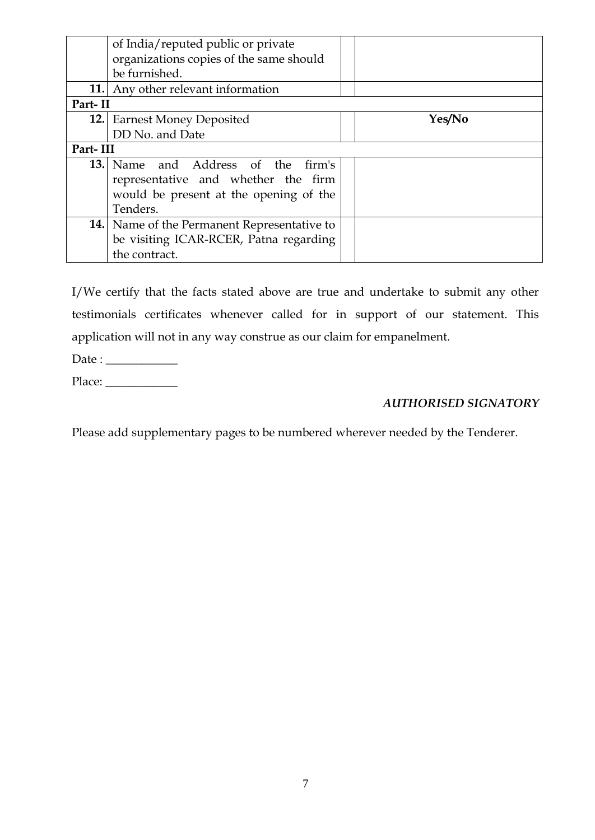|          | of India/reputed public or private                 |        |  |
|----------|----------------------------------------------------|--------|--|
|          | organizations copies of the same should            |        |  |
|          | be furnished.                                      |        |  |
|          | <b>11.</b> Any other relevant information          |        |  |
| Part-II  |                                                    |        |  |
|          | <b>12.</b> Earnest Money Deposited                 | Yes/No |  |
|          | DD No. and Date                                    |        |  |
| Part-III |                                                    |        |  |
|          | <b>13.</b> Name and Address of the firm's          |        |  |
|          | representative and whether the firm                |        |  |
|          | would be present at the opening of the             |        |  |
|          | Tenders.                                           |        |  |
|          | <b>14.</b> Name of the Permanent Representative to |        |  |
|          | be visiting ICAR-RCER, Patna regarding             |        |  |
|          | the contract.                                      |        |  |

I/We certify that the facts stated above are true and undertake to submit any other testimonials certificates whenever called for in support of our statement. This application will not in any way construe as our claim for empanelment.

| Date : |  |
|--------|--|
| Place: |  |

### *AUTHORISED SIGNATORY*

Please add supplementary pages to be numbered wherever needed by the Tenderer.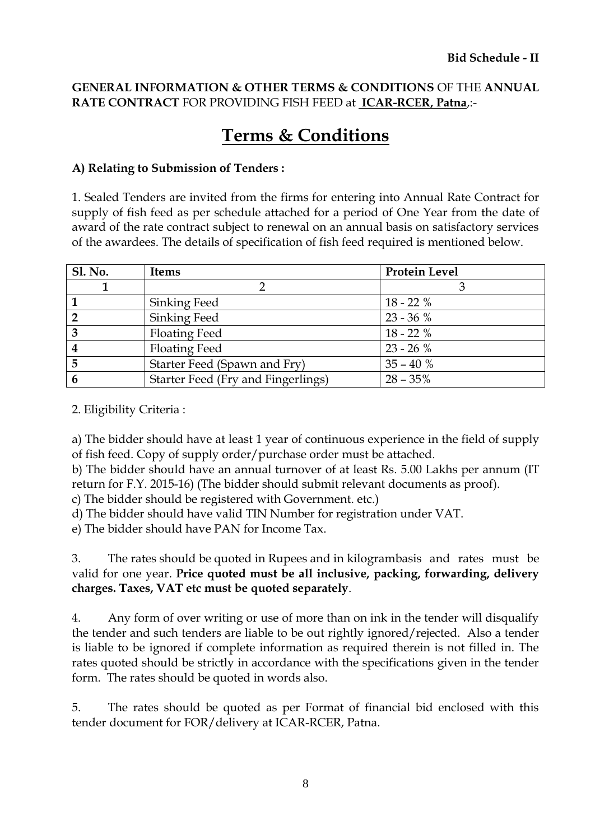### **GENERAL INFORMATION & OTHER TERMS & CONDITIONS** OF THE **ANNUAL RATE CONTRACT** FOR PROVIDING FISH FEED at **ICAR-RCER, Patna**,:-

# **Terms & Conditions**

### **A) Relating to Submission of Tenders :**

1. Sealed Tenders are invited from the firms for entering into Annual Rate Contract for supply of fish feed as per schedule attached for a period of One Year from the date of award of the rate contract subject to renewal on an annual basis on satisfactory services of the awardees. The details of specification of fish feed required is mentioned below.

| <b>Sl. No.</b> | <b>Items</b>                       | <b>Protein Level</b> |
|----------------|------------------------------------|----------------------|
|                |                                    |                      |
|                | Sinking Feed                       | $18 - 22%$           |
|                | Sinking Feed                       | $23 - 36 \%$         |
|                | <b>Floating Feed</b>               | $18 - 22%$           |
|                | <b>Floating Feed</b>               | $23 - 26%$           |
|                | Starter Feed (Spawn and Fry)       | $35 - 40 \%$         |
| 6              | Starter Feed (Fry and Fingerlings) | $28 - 35\%$          |

2. Eligibility Criteria :

a) The bidder should have at least 1 year of continuous experience in the field of supply of fish feed. Copy of supply order/purchase order must be attached.

b) The bidder should have an annual turnover of at least Rs. 5.00 Lakhs per annum (IT return for F.Y. 2015-16) (The bidder should submit relevant documents as proof).

c) The bidder should be registered with Government. etc.)

d) The bidder should have valid TIN Number for registration under VAT.

e) The bidder should have PAN for Income Tax.

3. The rates should be quoted in Rupees and in kilogrambasis and rates must be valid for one year. **Price quoted must be all inclusive, packing, forwarding, delivery charges. Taxes, VAT etc must be quoted separately**.

4. Any form of over writing or use of more than on ink in the tender will disqualify the tender and such tenders are liable to be out rightly ignored/rejected. Also a tender is liable to be ignored if complete information as required therein is not filled in. The rates quoted should be strictly in accordance with the specifications given in the tender form. The rates should be quoted in words also.

5. The rates should be quoted as per Format of financial bid enclosed with this tender document for FOR/delivery at ICAR-RCER, Patna.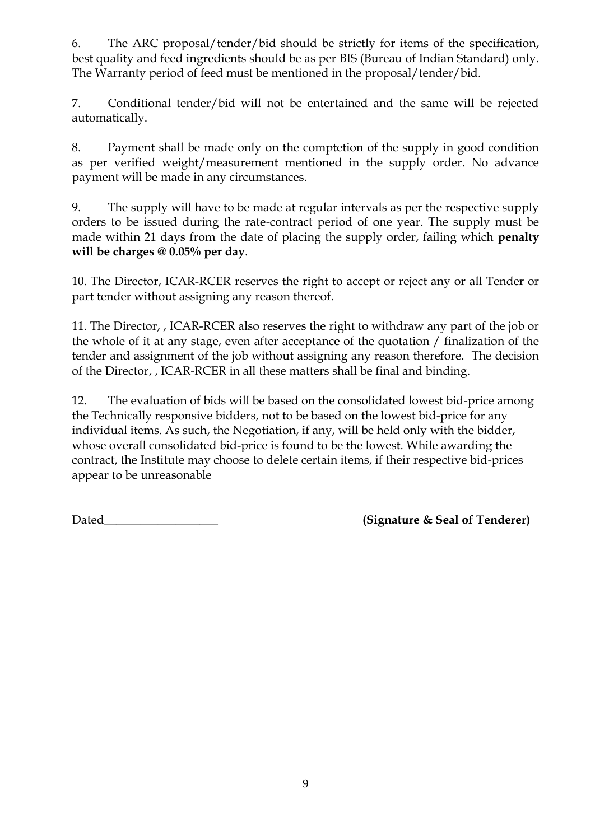6. The ARC proposal/tender/bid should be strictly for items of the specification, best quality and feed ingredients should be as per BIS (Bureau of Indian Standard) only. The Warranty period of feed must be mentioned in the proposal/tender/bid.

7. Conditional tender/bid will not be entertained and the same will be rejected automatically.

8. Payment shall be made only on the comptetion of the supply in good condition as per verified weight/measurement mentioned in the supply order. No advance payment will be made in any circumstances.

9. The supply will have to be made at regular intervals as per the respective supply orders to be issued during the rate-contract period of one year. The supply must be made within 21 days from the date of placing the supply order, failing which **penalty will be charges @ 0.05% per day**.

10. The Director, ICAR-RCER reserves the right to accept or reject any or all Tender or part tender without assigning any reason thereof.

11. The Director, , ICAR-RCER also reserves the right to withdraw any part of the job or the whole of it at any stage, even after acceptance of the quotation / finalization of the tender and assignment of the job without assigning any reason therefore. The decision of the Director, , ICAR-RCER in all these matters shall be final and binding.

12. The evaluation of bids will be based on the consolidated lowest bid-price among the Technically responsive bidders, not to be based on the lowest bid-price for any individual items. As such, the Negotiation, if any, will be held only with the bidder, whose overall consolidated bid-price is found to be the lowest. While awarding the contract, the Institute may choose to delete certain items, if their respective bid-prices appear to be unreasonable

Dated\_\_\_\_\_\_\_\_\_\_\_\_\_\_\_\_\_\_\_ **(Signature & Seal of Tenderer)**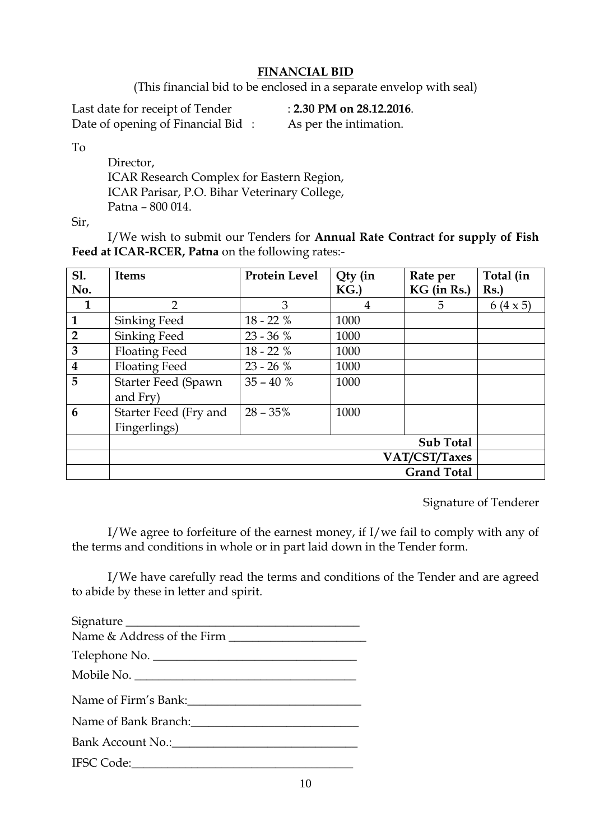### **FINANCIAL BID**

(This financial bid to be enclosed in a separate envelop with seal)

Last date for receipt of Tender : **2.30 PM on 28.12.2016**. Date of opening of Financial Bid : As per the intimation.

To

Director. ICAR Research Complex for Eastern Region, ICAR Parisar, P.O. Bihar Veterinary College, Patna – 800 014.

Sir,

I/We wish to submit our Tenders for **Annual Rate Contract for supply of Fish Feed at ICAR-RCER, Patna** on the following rates:-

| <b>S1.</b>              | <b>Items</b>               | Protein Level | Qty (in | Rate per           | Total (in       |
|-------------------------|----------------------------|---------------|---------|--------------------|-----------------|
| No.                     |                            |               | KG.     | KG (in Rs.)        | Rs.             |
| $\mathbf{1}$            | $\overline{2}$             | 3             | 4       | 5                  | $6(4 \times 5)$ |
| $\mathbf{1}$            | Sinking Feed               | $18 - 22%$    | 1000    |                    |                 |
| $\overline{2}$          | Sinking Feed               | $23 - 36 %$   | 1000    |                    |                 |
| $\overline{3}$          | <b>Floating Feed</b>       | $18 - 22%$    | 1000    |                    |                 |
| $\overline{\mathbf{4}}$ | <b>Floating Feed</b>       | $23 - 26%$    | 1000    |                    |                 |
| 5                       | <b>Starter Feed (Spawn</b> | $35 - 40%$    | 1000    |                    |                 |
|                         | and Fry)                   |               |         |                    |                 |
| $6\phantom{1}6$         | Starter Feed (Fry and      | $28 - 35%$    | 1000    |                    |                 |
|                         | Fingerlings)               |               |         |                    |                 |
|                         |                            |               |         | <b>Sub Total</b>   |                 |
|                         | VAT/CST/Taxes              |               |         |                    |                 |
|                         |                            |               |         | <b>Grand Total</b> |                 |

Signature of Tenderer

I/We agree to forfeiture of the earnest money, if I/we fail to comply with any of the terms and conditions in whole or in part laid down in the Tender form.

I/We have carefully read the terms and conditions of the Tender and are agreed to abide by these in letter and spirit.

| Signature            |
|----------------------|
|                      |
| Telephone No.        |
| Mobile No.           |
| Name of Firm's Bank: |
|                      |
|                      |
|                      |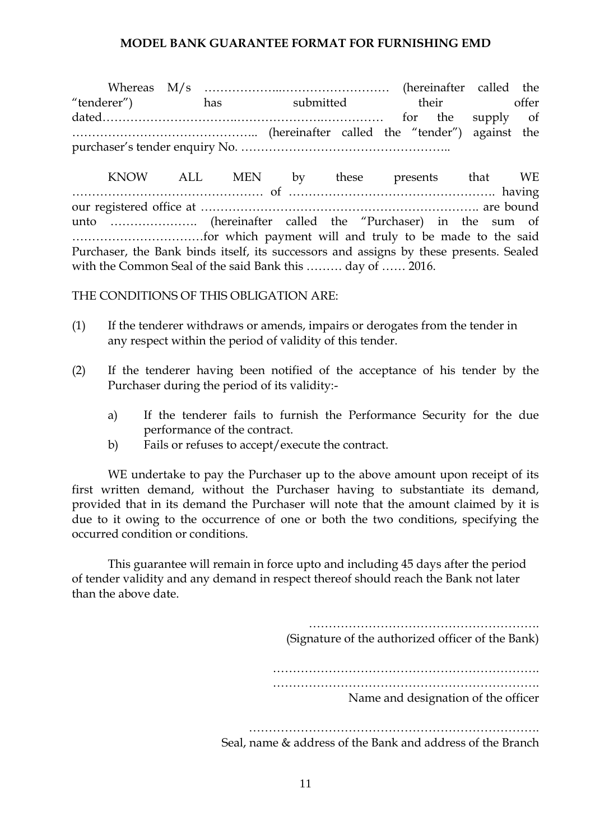### **MODEL BANK GUARANTEE FORMAT FOR FURNISHING EMD**

Whereas M/s ………………..……………………… (hereinafter called the "tenderer") has submitted their offer dated…………………………….………………….…………… for the supply of ……………………………………….. (hereinafter called the "tender") against the purchaser"s tender enquiry No. ……………………………………………..

KNOW ALL MEN by these presents that WE ………………………………………… of ……………………………………………. having our registered office at ……………………………………………………………. are bound unto …………………. (hereinafter called the "Purchaser) in the sum of ……………………………for which payment will and truly to be made to the said Purchaser, the Bank binds itself, its successors and assigns by these presents. Sealed with the Common Seal of the said Bank this ……… day of …… 2016.

THE CONDITIONS OF THIS OBLIGATION ARE:

- (1) If the tenderer withdraws or amends, impairs or derogates from the tender in any respect within the period of validity of this tender.
- (2) If the tenderer having been notified of the acceptance of his tender by the Purchaser during the period of its validity:
	- a) If the tenderer fails to furnish the Performance Security for the due performance of the contract.
	- b) Fails or refuses to accept/execute the contract.

WE undertake to pay the Purchaser up to the above amount upon receipt of its first written demand, without the Purchaser having to substantiate its demand, provided that in its demand the Purchaser will note that the amount claimed by it is due to it owing to the occurrence of one or both the two conditions, specifying the occurred condition or conditions.

This guarantee will remain in force upto and including 45 days after the period of tender validity and any demand in respect thereof should reach the Bank not later than the above date.

> …………………………………………………. (Signature of the authorized officer of the Bank) …………………………………………………………………………… ………………………………………………………………… Name and designation of the officer ……………………………………………………………….

Seal, name & address of the Bank and address of the Branch